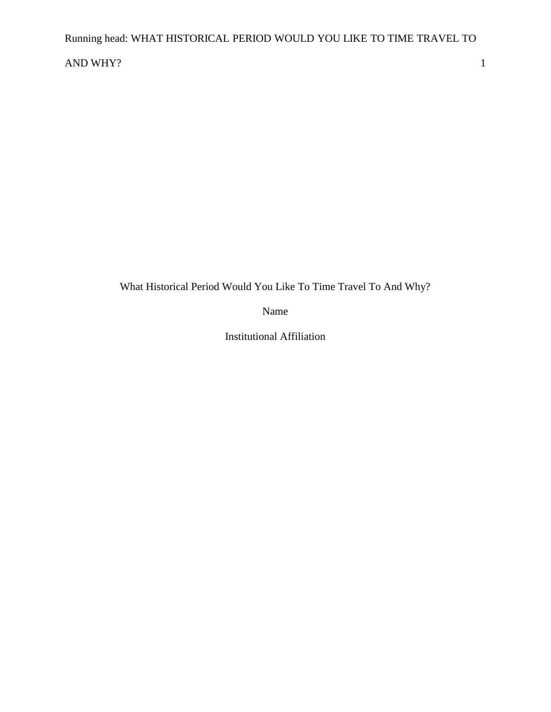## AND WHY? 1

What Historical Period Would You Like To Time Travel To And Why?

Name

Institutional Affiliation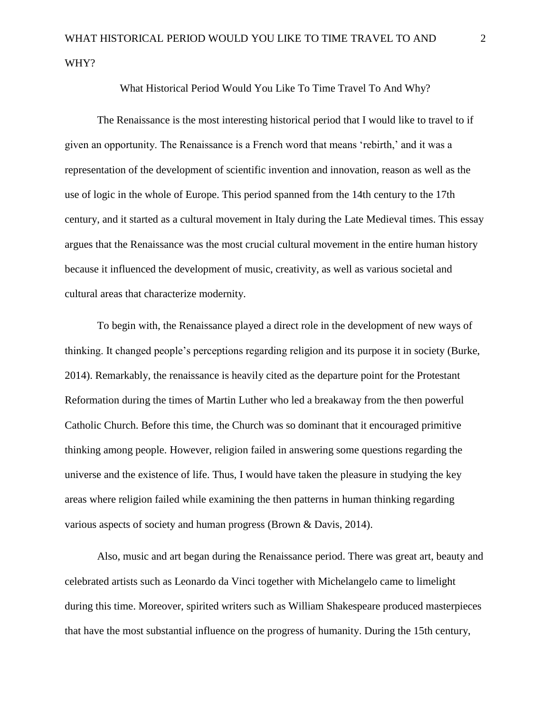What Historical Period Would You Like To Time Travel To And Why?

The Renaissance is the most interesting historical period that I would like to travel to if given an opportunity. The Renaissance is a French word that means 'rebirth,' and it was a representation of the development of scientific invention and innovation, reason as well as the use of logic in the whole of Europe. This period spanned from the 14th century to the 17th century, and it started as a cultural movement in Italy during the Late Medieval times. This essay argues that the Renaissance was the most crucial cultural movement in the entire human history because it influenced the development of music, creativity, as well as various societal and cultural areas that characterize modernity.

To begin with, the Renaissance played a direct role in the development of new ways of thinking. It changed people's perceptions regarding religion and its purpose it in society (Burke, 2014). Remarkably, the renaissance is heavily cited as the departure point for the Protestant Reformation during the times of Martin Luther who led a breakaway from the then powerful Catholic Church. Before this time, the Church was so dominant that it encouraged primitive thinking among people. However, religion failed in answering some questions regarding the universe and the existence of life. Thus, I would have taken the pleasure in studying the key areas where religion failed while examining the then patterns in human thinking regarding various aspects of society and human progress (Brown & Davis, 2014).

Also, music and art began during the Renaissance period. There was great art, beauty and celebrated artists such as Leonardo da Vinci together with Michelangelo came to limelight during this time. Moreover, spirited writers such as William Shakespeare produced masterpieces that have the most substantial influence on the progress of humanity. During the 15th century,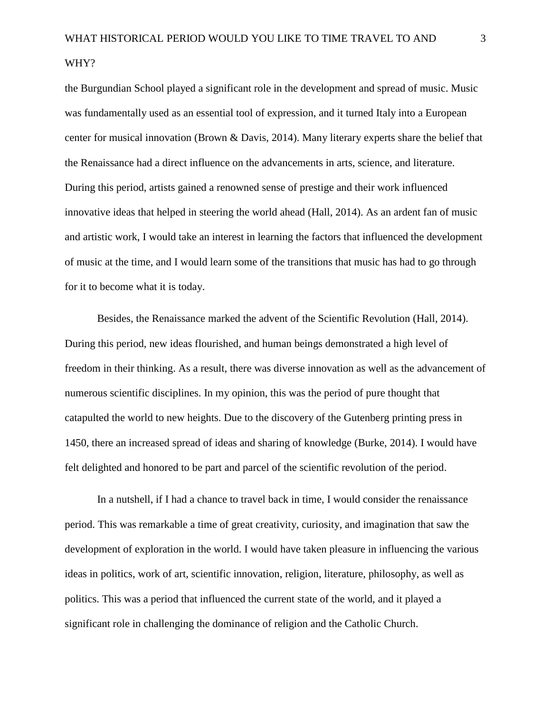## WHY?

the Burgundian School played a significant role in the development and spread of music. Music was fundamentally used as an essential tool of expression, and it turned Italy into a European center for musical innovation (Brown & Davis, 2014). Many literary experts share the belief that the Renaissance had a direct influence on the advancements in arts, science, and literature. During this period, artists gained a renowned sense of prestige and their work influenced innovative ideas that helped in steering the world ahead (Hall, 2014). As an ardent fan of music and artistic work, I would take an interest in learning the factors that influenced the development of music at the time, and I would learn some of the transitions that music has had to go through for it to become what it is today.

Besides, the Renaissance marked the advent of the Scientific Revolution (Hall, 2014). During this period, new ideas flourished, and human beings demonstrated a high level of freedom in their thinking. As a result, there was diverse innovation as well as the advancement of numerous scientific disciplines. In my opinion, this was the period of pure thought that catapulted the world to new heights. Due to the discovery of the Gutenberg printing press in 1450, there an increased spread of ideas and sharing of knowledge (Burke, 2014). I would have felt delighted and honored to be part and parcel of the scientific revolution of the period.

In a nutshell, if I had a chance to travel back in time, I would consider the renaissance period. This was remarkable a time of great creativity, curiosity, and imagination that saw the development of exploration in the world. I would have taken pleasure in influencing the various ideas in politics, work of art, scientific innovation, religion, literature, philosophy, as well as politics. This was a period that influenced the current state of the world, and it played a significant role in challenging the dominance of religion and the Catholic Church.